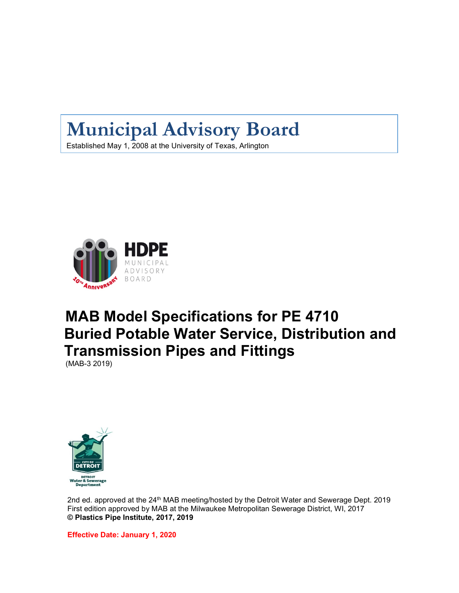# **Municipal Advisory Board**

Established May 1, 2008 at the University of Texas, Arlington



# **MAB Model Specifications for PE 4710 Buried Potable Water Service, Distribution and Transmission Pipes and Fittings** (MAB-3 2019)



2nd ed. approved at the 24<sup>th</sup> MAB meeting/hosted by the Detroit Water and Sewerage Dept. 2019 First edition approved by MAB at the Milwaukee Metropolitan Sewerage District, WI, 2017 **© Plastics Pipe Institute, 2017, 2019**

**Effective Date: January 1, 2020**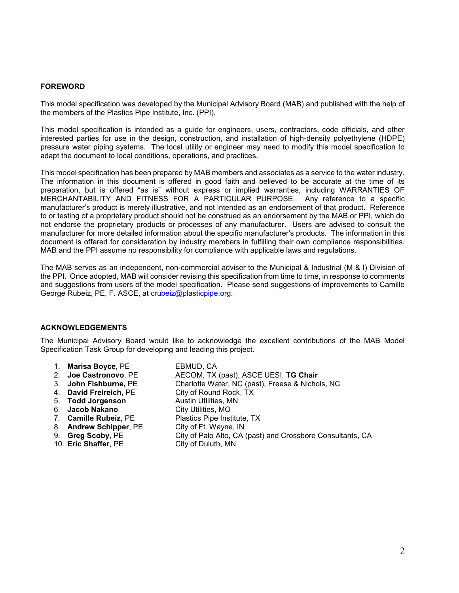#### **FOREWORD**

This model specification was developed by the Municipal Advisory Board (MAB) and published with the help of the members of the Plastics Pipe Institute, Inc. (PPI).

This model specification is intended as a guide for engineers, users, contractors, code officials, and other interested parties for use in the design, construction, and installation of high-density polyethylene (HDPE) pressure water piping systems. The local utility or engineer may need to modify this model specification to adapt the document to local conditions, operations, and practices.

This model specification has been prepared by MAB members and associates as a service to the water industry. The information in this document is offered in good faith and believed to be accurate at the time of its preparation, but is offered "as is" without express or implied warranties, including WARRANTIES OF MERCHANTABILITY AND FITNESS FOR A PARTICULAR PURPOSE. Any reference to a specific manufacturer's product is merely illustrative, and not intended as an endorsement of that product. Reference to or testing of a proprietary product should not be construed as an endorsement by the MAB or PPI, which do not endorse the proprietary products or processes of any manufacturer. Users are advised to consult the manufacturer for more detailed information about the specific manufacturer's products. The information in this document is offered for consideration by industry members in fulfilling their own compliance responsibilities. MAB and the PPI assume no responsibility for compliance with applicable laws and regulations.

The MAB serves as an independent, non-commercial adviser to the Municipal & Industrial (M & I) Division of the PPI. Once adopted, MAB will consider revising this specification from time to time, in response to comments and suggestions from users of the model specification. Please send suggestions of improvements to Camille George Rubeiz, PE, F. ASCE, at [crubeiz@plasticpipe.org.](mailto:crubeiz@plasticpipe.org)

#### **ACKNOWLEDGEMENTS**

The Municipal Advisory Board would like to acknowledge the excellent contributions of the MAB Model Specification Task Group for developing and leading this project.

- 1. **Marisa Boyce**, PE EBMUD, CA
- 2. **Joe Castronovo**, PE **AECOM, TX (past), ASCE UESI, TG Chair**<br>3. **John Fishburne, PE** Charlotte Water, NC (past), Freese & Nicho
- 
- 4. **David Freireich, PE**
- 
- 
- 6. **Jacob Nakano**<br>7. **Camille Rubeiz**, PE
- 
- 
- 
- 10. **Eric Shaffer**, PE
- Charlotte Water, NC (past), Freese & Nichols, NC<br>City of Round Rock, TX 5. **Todd Jorgenson** Austin Utilities, MN Plastics Pipe Institute, TX 8. **Andrew Schipper**, PE City of Ft. Wayne, IN<br>
9. **Greg Scoby**, PE City of Palo Alto, CA City of Palo Alto, CA (past) and Crossbore Consultants, CA City of Duluth, MN
	-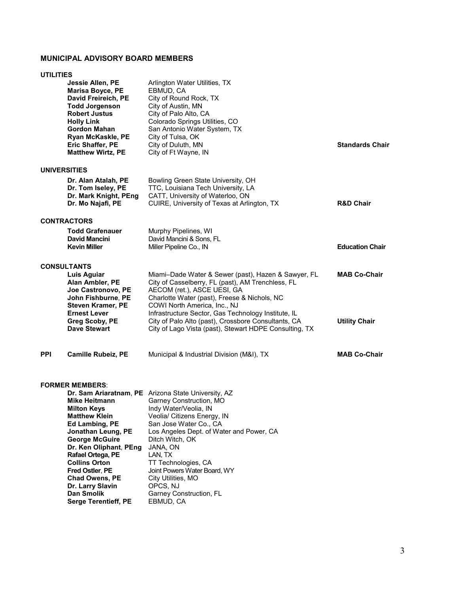## **MUNICIPAL ADVISORY BOARD MEMBERS**

**Chad Owens, PE** City Utilities, MO **Dr. Larry Slavin** OPCS, NJ

**Serge Terentieff, PE** EBMUD, CA

**Dan Smolik** Garney Construction, FL

## **UTILITIES**

|            | Jessie Allen, PE<br><b>Marisa Boyce, PE</b><br>David Freireich, PE<br><b>Todd Jorgenson</b><br><b>Robert Justus</b><br><b>Holly Link</b><br><b>Gordon Mahan</b><br>Ryan McKaskle, PE<br>Eric Shaffer, PE<br><b>Matthew Wirtz, PE</b>                    | Arlington Water Utilities, TX<br>EBMUD, CA<br>City of Round Rock, TX<br>City of Austin, MN<br>City of Palo Alto, CA<br>Colorado Springs Utilities, CO<br>San Antonio Water System, TX<br>City of Tulsa, OK<br>City of Duluth, MN<br>City of Ft Wayne, IN                                                                                                                                        | <b>Standards Chair</b>                      |
|------------|---------------------------------------------------------------------------------------------------------------------------------------------------------------------------------------------------------------------------------------------------------|-------------------------------------------------------------------------------------------------------------------------------------------------------------------------------------------------------------------------------------------------------------------------------------------------------------------------------------------------------------------------------------------------|---------------------------------------------|
|            | <b>UNIVERSITIES</b>                                                                                                                                                                                                                                     |                                                                                                                                                                                                                                                                                                                                                                                                 |                                             |
|            | Dr. Alan Atalah, PE<br>Dr. Tom Iseley, PE<br>Dr. Mark Knight, PEng<br>Dr. Mo Najafi, PE                                                                                                                                                                 | Bowling Green State University, OH<br>TTC, Louisiana Tech University, LA<br>CATT, University of Waterloo, ON<br>CUIRE, University of Texas at Arlington, TX                                                                                                                                                                                                                                     | <b>R&amp;D Chair</b>                        |
|            | <b>CONTRACTORS</b>                                                                                                                                                                                                                                      |                                                                                                                                                                                                                                                                                                                                                                                                 |                                             |
|            | <b>Todd Grafenauer</b><br>David Mancini<br><b>Kevin Miller</b>                                                                                                                                                                                          | Murphy Pipelines, WI<br>David Mancini & Sons, FL<br>Miller Pipeline Co., IN                                                                                                                                                                                                                                                                                                                     | <b>Education Chair</b>                      |
|            | <b>CONSULTANTS</b><br>Luis Aguiar<br>Alan Ambler, PE<br>Joe Castronovo, PE<br>John Fishburne, PE<br><b>Steven Kramer, PE</b><br><b>Ernest Lever</b><br>Greg Scoby, PE<br><b>Dave Stewart</b>                                                            | Miami-Dade Water & Sewer (past), Hazen & Sawyer, FL<br>City of Casselberry, FL (past), AM Trenchless, FL<br>AECOM (ret.), ASCE UESI, GA<br>Charlotte Water (past), Freese & Nichols, NC<br>COWI North America, Inc., NJ<br>Infrastructure Sector, Gas Technology Institute, IL<br>City of Palo Alto (past), Crossbore Consultants, CA<br>City of Lago Vista (past), Stewart HDPE Consulting, TX | <b>MAB Co-Chair</b><br><b>Utility Chair</b> |
| <b>PPI</b> | <b>Camille Rubeiz, PE</b>                                                                                                                                                                                                                               | Municipal & Industrial Division (M&I), TX                                                                                                                                                                                                                                                                                                                                                       | <b>MAB Co-Chair</b>                         |
|            | <b>FORMER MEMBERS:</b><br><b>Mike Heitmann</b><br><b>Milton Keys</b><br><b>Matthew Klein</b><br>Ed Lambing, PE<br>Jonathan Leung, PE<br><b>George McGuire</b><br>Dr. Ken Oliphant, PEng<br>Rafael Ortega, PE<br><b>Collins Orton</b><br>Fred Ostler, PE | Dr. Sam Ariaratnam, PE Arizona State University, AZ<br>Garney Construction, MO<br>Indy Water/Veolia, IN<br>Veolia/ Citizens Energy, IN<br>San Jose Water Co., CA<br>Los Angeles Dept. of Water and Power, CA<br>Ditch Witch, OK<br>JANA, ON<br>LAN, TX<br>TT Technologies, CA<br>Joint Powers Water Board, WY                                                                                   |                                             |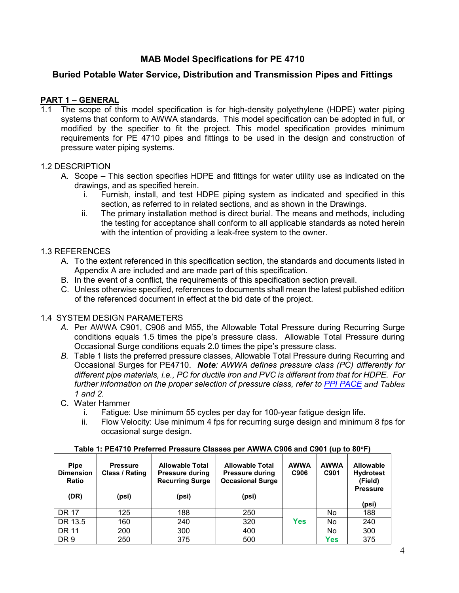# **MAB Model Specifications for PE 4710**

# **Buried Potable Water Service, Distribution and Transmission Pipes and Fittings**

# **PART 1 – GENERAL**

1.1 The scope of this model specification is for high-density polyethylene (HDPE) water piping systems that conform to AWWA standards. This model specification can be adopted in full, or modified by the specifier to fit the project. This model specification provides minimum requirements for PE 4710 pipes and fittings to be used in the design and construction of pressure water piping systems.

## 1.2 DESCRIPTION

- A. Scope This section specifies HDPE and fittings for water utility use as indicated on the drawings, and as specified herein.
	- i. Furnish, install, and test HDPE piping system as indicated and specified in this section, as referred to in related sections, and as shown in the Drawings.
	- ii. The primary installation method is direct burial. The means and methods, including the testing for acceptance shall conform to all applicable standards as noted herein with the intention of providing a leak-free system to the owner.

## 1.3 REFERENCES

- A. To the extent referenced in this specification section, the standards and documents listed in Appendix A are included and are made part of this specification.
- B. In the event of a conflict, the requirements of this specification section prevail.
- C. Unless otherwise specified, references to documents shall mean the latest published edition of the referenced document in effect at the bid date of the project.

## 1.4 SYSTEM DESIGN PARAMETERS

- *A.* Per AWWA C901, C906 and M55, the Allowable Total Pressure during Recurring Surge conditions equals 1.5 times the pipe's pressure class. Allowable Total Pressure during Occasional Surge conditions equals 2.0 times the pipe's pressure class.
- *B.* Table 1 lists the preferred pressure classes, Allowable Total Pressure during Recurring and Occasional Surges for PE4710. *Note: AWWA defines pressure class (PC) differently for different pipe materials, i.e., PC for ductile iron and PVC is different from that for HDPE. For further information on the proper selection of pressure class, refer to [PPI PACE](http://ppipace.com/) and Tables 1 and 2.*
- C. Water Hammer
	- i. Fatigue: Use minimum 55 cycles per day for 100-year fatigue design life.
	- ii. Flow Velocity: Use minimum 4 fps for recurring surge design and minimum 8 fps for occasional surge design.

| <b>Pipe</b><br><b>Dimension</b><br>Ratio<br>(DR) | <b>Pressure</b><br>Class / Rating<br>(psi) | <b>Allowable Total</b><br><b>Pressure during</b><br><b>Recurring Surge</b><br>(psi) | <b>Allowable Total</b><br><b>Pressure during</b><br><b>Occasional Surge</b><br>(psi) | <b>AWWA</b><br>C906 | <b>AWWA</b><br>C901 | <b>Allowable</b><br><b>Hydrotest</b><br>(Field)<br><b>Pressure</b> |
|--------------------------------------------------|--------------------------------------------|-------------------------------------------------------------------------------------|--------------------------------------------------------------------------------------|---------------------|---------------------|--------------------------------------------------------------------|
|                                                  |                                            |                                                                                     |                                                                                      |                     |                     | (psi)                                                              |
| <b>DR 17</b>                                     | 125                                        | 188                                                                                 | 250                                                                                  |                     | No                  | 188                                                                |
| DR 13.5                                          | 160                                        | 240                                                                                 | 320                                                                                  | <b>Yes</b>          | No                  | 240                                                                |
| <b>DR 11</b>                                     | 200                                        | 300                                                                                 | 400                                                                                  |                     | No                  | 300                                                                |
| DR 9                                             | 250                                        | 375                                                                                 | 500                                                                                  |                     | <b>Yes</b>          | 375                                                                |

### Table 1: PE4710 Preferred Pressure Classes per AWWA C906 and C901 (up to 80°F)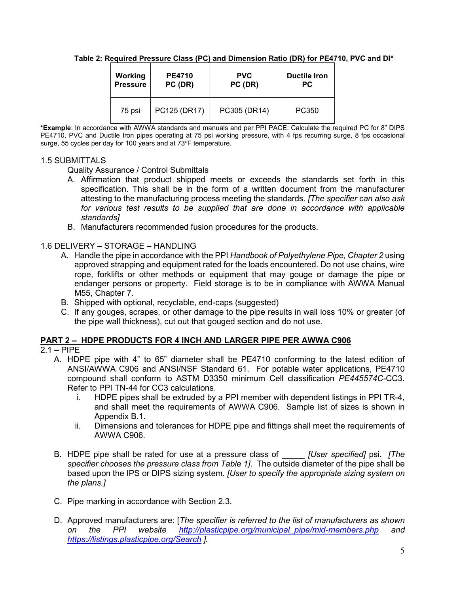**Table 2: Required Pressure Class (PC) and Dimension Ratio (DR) for PE4710, PVC and DI\***

| Working         | <b>PE4710</b> | <b>PVC</b>   | <b>Ductile Iron</b> |
|-----------------|---------------|--------------|---------------------|
| <b>Pressure</b> | PC (DR)       | PC (DR)      | РC.                 |
| 75 psi          | PC125 (DR17)  | PC305 (DR14) | PC350               |

**\*Example**: In accordance with AWWA standards and manuals and per PPI PACE: Calculate the required PC for 8" DIPS PE4710, PVC and Ductile Iron pipes operating at 75 psi working pressure, with 4 fps recurring surge, 8 fps occasional surge, 55 cycles per day for 100 years and at 73°F temperature.

# 1.5 SUBMITTALS

Quality Assurance / Control Submittals

- A. Affirmation that product shipped meets or exceeds the standards set forth in this specification. This shall be in the form of a written document from the manufacturer attesting to the manufacturing process meeting the standards. *[The specifier can also ask*  for various test results to be supplied that are done in accordance with applicable *standards]*
- B. Manufacturers recommended fusion procedures for the products.

1.6 DELIVERY – STORAGE – HANDLING

- A. Handle the pipe in accordance with the PPI *Handbook of Polyethylene Pipe, Chapter 2* using approved strapping and equipment rated for the loads encountered. Do not use chains, wire rope, forklifts or other methods or equipment that may gouge or damage the pipe or endanger persons or property. Field storage is to be in compliance with AWWA Manual M55, Chapter 7.
- B. Shipped with optional, recyclable, end-caps (suggested)
- C. If any gouges, scrapes, or other damage to the pipe results in wall loss 10% or greater (of the pipe wall thickness), cut out that gouged section and do not use.

## **PART 2 – HDPE PRODUCTS FOR 4 INCH AND LARGER PIPE PER AWWA C906**

- $2.1 P I P E$ 
	- A. HDPE pipe with 4" to 65" diameter shall be PE4710 conforming to the latest edition of ANSI/AWWA C906 and ANSI/NSF Standard 61. For potable water applications, PE4710 compound shall conform to ASTM D3350 minimum Cell classification *PE445574C-*CC3. Refer to PPI TN-44 for CC3 calculations.
		- i. HDPE pipes shall be extruded by a PPI member with dependent listings in PPI TR-4, and shall meet the requirements of AWWA C906. Sample list of sizes is shown in Appendix B.1.
		- ii. Dimensions and tolerances for HDPE pipe and fittings shall meet the requirements of AWWA C906.
	- B. HDPE pipe shall be rated for use at a pressure class of \_\_\_\_\_ *[User specified]* psi. *[The specifier chooses the pressure class from Table 1]*. The outside diameter of the pipe shall be based upon the IPS or DIPS sizing system. *[User to specify the appropriate sizing system on the plans.]*
	- C. Pipe marking in accordance with Section 2.3.
	- D. Approved manufacturers are: [*The specifier is referred to the list of manufacturers as shown on the PPI website [http://plasticpipe.org/municipal\\_pipe/mid-members.php](http://plasticpipe.org/municipal_pipe/mid-members.php) and <https://listings.plasticpipe.org/Search> ].*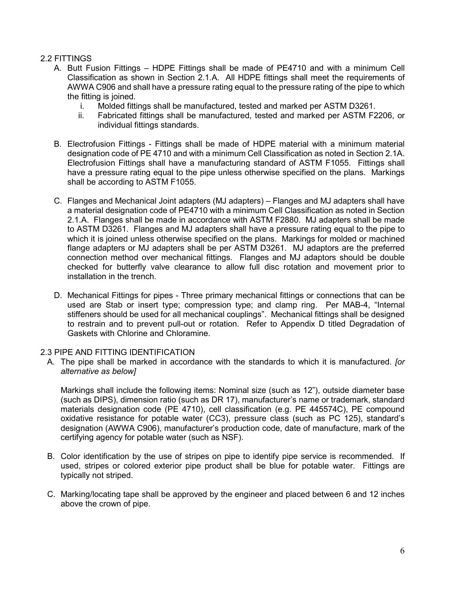# 2.2 FITTINGS

- A. Butt Fusion Fittings HDPE Fittings shall be made of PE4710 and with a minimum Cell Classification as shown in Section 2.1.A. All HDPE fittings shall meet the requirements of AWWA C906 and shall have a pressure rating equal to the pressure rating of the pipe to which the fitting is joined.
	- i. Molded fittings shall be manufactured, tested and marked per ASTM D3261.
	- ii. Fabricated fittings shall be manufactured, tested and marked per ASTM F2206, or individual fittings standards.
- B. Electrofusion Fittings Fittings shall be made of HDPE material with a minimum material designation code of PE 4710 and with a minimum Cell Classification as noted in Section 2.1A. Electrofusion Fittings shall have a manufacturing standard of ASTM F1055. Fittings shall have a pressure rating equal to the pipe unless otherwise specified on the plans. Markings shall be according to ASTM F1055.
- C. Flanges and Mechanical Joint adapters (MJ adapters) Flanges and MJ adapters shall have a material designation code of PE4710 with a minimum Cell Classification as noted in Section 2.1.A. Flanges shall be made in accordance with ASTM F2880. MJ adapters shall be made to ASTM D3261. Flanges and MJ adapters shall have a pressure rating equal to the pipe to which it is joined unless otherwise specified on the plans. Markings for molded or machined flange adapters or MJ adapters shall be per ASTM D3261. MJ adaptors are the preferred connection method over mechanical fittings. Flanges and MJ adaptors should be double checked for butterfly valve clearance to allow full disc rotation and movement prior to installation in the trench.
- D. Mechanical Fittings for pipes Three primary mechanical fittings or connections that can be used are Stab or insert type; compression type; and clamp ring. Per MAB-4, "Internal stiffeners should be used for all mechanical couplings". Mechanical fittings shall be designed to restrain and to prevent pull-out or rotation. Refer to Appendix D titled Degradation of Gaskets with Chlorine and Chloramine.

## 2.3 PIPE AND FITTING IDENTIFICATION

A. The pipe shall be marked in accordance with the standards to which it is manufactured. *[or alternative as below]* 

Markings shall include the following items: Nominal size (such as 12"), outside diameter base (such as DIPS), dimension ratio (such as DR 17), manufacturer's name or trademark, standard materials designation code (PE 4710), cell classification (e.g. PE 445574C), PE compound oxidative resistance for potable water (CC3), pressure class (such as PC 125), standard's designation (AWWA C906), manufacturer's production code, date of manufacture, mark of the certifying agency for potable water (such as NSF).

- B. Color identification by the use of stripes on pipe to identify pipe service is recommended. If used, stripes or colored exterior pipe product shall be blue for potable water.Fittings are typically not striped.
- C. Marking/locating tape shall be approved by the engineer and placed between 6 and 12 inches above the crown of pipe.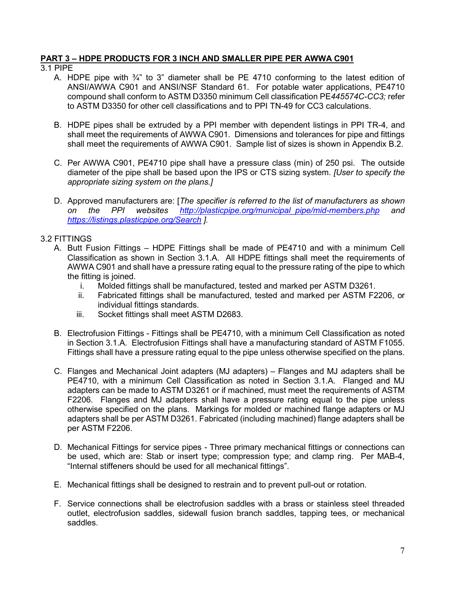## **PART 3 – HDPE PRODUCTS FOR 3 INCH AND SMALLER PIPE PER AWWA C901**

- 3.1 PIPE
	- A. HDPE pipe with  $\frac{3}{4}$ " to 3" diameter shall be PE 4710 conforming to the latest edition of ANSI/AWWA C901 and ANSI/NSF Standard 61. For potable water applications, PE4710 compound shall conform to ASTM D3350 minimum Cell classification PE*445574C-CC3;* refer to ASTM D3350 for other cell classifications and to PPI TN-49 for CC3 calculations.
	- B. HDPE pipes shall be extruded by a PPI member with dependent listings in PPI TR-4, and shall meet the requirements of AWWA C901. Dimensions and tolerances for pipe and fittings shall meet the requirements of AWWA C901. Sample list of sizes is shown in Appendix B.2.
	- C. Per AWWA C901, PE4710 pipe shall have a pressure class (min) of 250 psi. The outside diameter of the pipe shall be based upon the IPS or CTS sizing system. *[User to specify the appropriate sizing system on the plans.]*
	- D. Approved manufacturers are: [*The specifier is referred to the list of manufacturers as shown on the PPI websites [http://plasticpipe.org/municipal\\_pipe/mid-members.php](http://plasticpipe.org/municipal_pipe/mid-members.php) and <https://listings.plasticpipe.org/Search> ].*

## 3.2 FITTINGS

- A. Butt Fusion Fittings HDPE Fittings shall be made of PE4710 and with a minimum Cell Classification as shown in Section 3.1.A. All HDPE fittings shall meet the requirements of AWWA C901 and shall have a pressure rating equal to the pressure rating of the pipe to which the fitting is joined.
	- i. Molded fittings shall be manufactured, tested and marked per ASTM D3261.
	- ii. Fabricated fittings shall be manufactured, tested and marked per ASTM F2206, or individual fittings standards.
	- iii. Socket fittings shall meet ASTM D2683.
- B. Electrofusion Fittings Fittings shall be PE4710, with a minimum Cell Classification as noted in Section 3.1.A. Electrofusion Fittings shall have a manufacturing standard of ASTM F1055. Fittings shall have a pressure rating equal to the pipe unless otherwise specified on the plans.
- C. Flanges and Mechanical Joint adapters (MJ adapters) Flanges and MJ adapters shall be PE4710, with a minimum Cell Classification as noted in Section 3.1.A. Flanged and MJ adapters can be made to ASTM D3261 or if machined, must meet the requirements of ASTM F2206. Flanges and MJ adapters shall have a pressure rating equal to the pipe unless otherwise specified on the plans. Markings for molded or machined flange adapters or MJ adapters shall be per ASTM D3261. Fabricated (including machined) flange adapters shall be per ASTM F2206.
- D. Mechanical Fittings for service pipes Three primary mechanical fittings or connections can be used, which are: Stab or insert type; compression type; and clamp ring. Per MAB-4, "Internal stiffeners should be used for all mechanical fittings".
- E. Mechanical fittings shall be designed to restrain and to prevent pull-out or rotation.
- F. Service connections shall be electrofusion saddles with a brass or stainless steel threaded outlet, electrofusion saddles, sidewall fusion branch saddles, tapping tees, or mechanical saddles.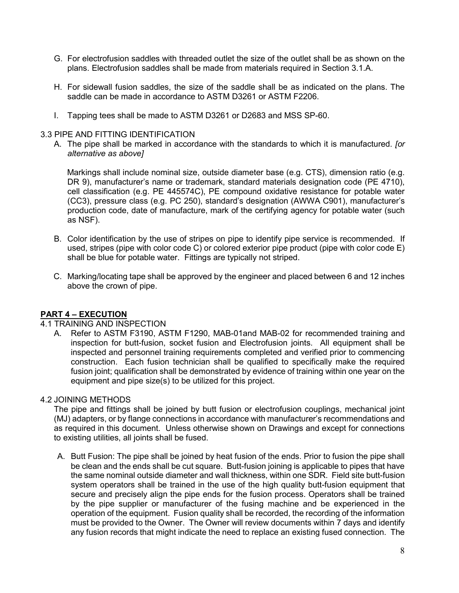- G. For electrofusion saddles with threaded outlet the size of the outlet shall be as shown on the plans. Electrofusion saddles shall be made from materials required in Section 3.1.A.
- H. For sidewall fusion saddles, the size of the saddle shall be as indicated on the plans. The saddle can be made in accordance to ASTM D3261 or ASTM F2206.
- I. Tapping tees shall be made to ASTM D3261 or D2683 and MSS SP-60.

## 3.3 PIPE AND FITTING IDENTIFICATION

A. The pipe shall be marked in accordance with the standards to which it is manufactured. *[or alternative as above]*

Markings shall include nominal size, outside diameter base (e.g. CTS), dimension ratio (e.g. DR 9), manufacturer's name or trademark, standard materials designation code (PE 4710), cell classification (e.g. PE 445574C), PE compound oxidative resistance for potable water (CC3), pressure class (e.g. PC 250), standard's designation (AWWA C901), manufacturer's production code, date of manufacture, mark of the certifying agency for potable water (such as NSF).

- B. Color identification by the use of stripes on pipe to identify pipe service is recommended. If used, stripes (pipe with color code C) or colored exterior pipe product (pipe with color code E) shall be blue for potable water.Fittings are typically not striped.
- C. Marking/locating tape shall be approved by the engineer and placed between 6 and 12 inches above the crown of pipe.

## **PART 4 – EXECUTION**

## 4.1 TRAINING AND INSPECTION

A. Refer to ASTM F3190, ASTM F1290, MAB-01and MAB-02 for recommended training and inspection for butt-fusion, socket fusion and Electrofusion joints. All equipment shall be inspected and personnel training requirements completed and verified prior to commencing construction. Each fusion technician shall be qualified to specifically make the required fusion joint; qualification shall be demonstrated by evidence of training within one year on the equipment and pipe size(s) to be utilized for this project.

## 4.2 JOINING METHODS

The pipe and fittings shall be joined by butt fusion or electrofusion couplings, mechanical joint (MJ) adapters, or by flange connections in accordance with manufacturer's recommendations and as required in this document. Unless otherwise shown on Drawings and except for connections to existing utilities, all joints shall be fused.

A. Butt Fusion: The pipe shall be joined by heat fusion of the ends. Prior to fusion the pipe shall be clean and the ends shall be cut square. Butt-fusion joining is applicable to pipes that have the same nominal outside diameter and wall thickness, within one SDR. Field site butt-fusion system operators shall be trained in the use of the high quality butt-fusion equipment that secure and precisely align the pipe ends for the fusion process. Operators shall be trained by the pipe supplier or manufacturer of the fusing machine and be experienced in the operation of the equipment. Fusion quality shall be recorded, the recording of the information must be provided to the Owner. The Owner will review documents within 7 days and identify any fusion records that might indicate the need to replace an existing fused connection. The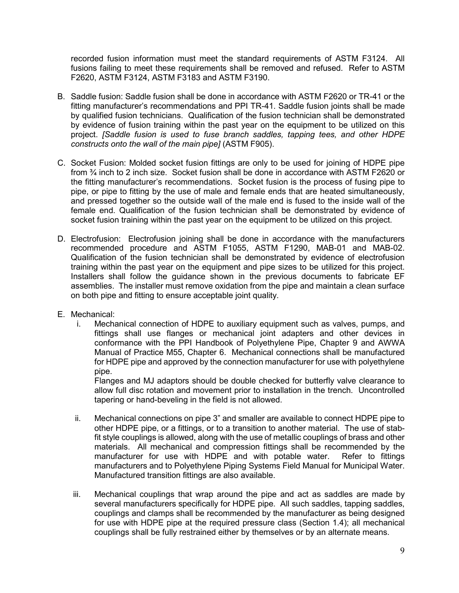recorded fusion information must meet the standard requirements of ASTM F3124. All fusions failing to meet these requirements shall be removed and refused. Refer to ASTM F2620, ASTM F3124, ASTM F3183 and ASTM F3190.

- B. Saddle fusion: Saddle fusion shall be done in accordance with ASTM F2620 or TR-41 or the fitting manufacturer's recommendations and PPI TR-41. Saddle fusion joints shall be made by qualified fusion technicians. Qualification of the fusion technician shall be demonstrated by evidence of fusion training within the past year on the equipment to be utilized on this project. *[Saddle fusion is used to fuse branch saddles, tapping tees, and other HDPE constructs onto the wall of the main pipe]* (ASTM F905).
- C. Socket Fusion: Molded socket fusion fittings are only to be used for joining of HDPE pipe from ¾ inch to 2 inch size. Socket fusion shall be done in accordance with ASTM F2620 or the fitting manufacturer's recommendations. Socket fusion is the process of fusing pipe to pipe, or pipe to fitting by the use of male and female ends that are heated simultaneously, and pressed together so the outside wall of the male end is fused to the inside wall of the female end. Qualification of the fusion technician shall be demonstrated by evidence of socket fusion training within the past year on the equipment to be utilized on this project.
- D. Electrofusion: Electrofusion joining shall be done in accordance with the manufacturers recommended procedure and ASTM F1055, ASTM F1290, MAB-01 and MAB-02. Qualification of the fusion technician shall be demonstrated by evidence of electrofusion training within the past year on the equipment and pipe sizes to be utilized for this project. Installers shall follow the guidance shown in the previous documents to fabricate EF assemblies. The installer must remove oxidation from the pipe and maintain a clean surface on both pipe and fitting to ensure acceptable joint quality.
- E. Mechanical:
	- i. Mechanical connection of HDPE to auxiliary equipment such as valves, pumps, and fittings shall use flanges or mechanical joint adapters and other devices in conformance with the PPI Handbook of Polyethylene Pipe, Chapter 9 and AWWA Manual of Practice M55, Chapter 6. Mechanical connections shall be manufactured for HDPE pipe and approved by the connection manufacturer for use with polyethylene pipe.

Flanges and MJ adaptors should be double checked for butterfly valve clearance to allow full disc rotation and movement prior to installation in the trench. Uncontrolled tapering or hand-beveling in the field is not allowed.

- ii. Mechanical connections on pipe 3" and smaller are available to connect HDPE pipe to other HDPE pipe, or a fittings, or to a transition to another material. The use of stabfit style couplings is allowed, along with the use of metallic couplings of brass and other materials. All mechanical and compression fittings shall be recommended by the manufacturer for use with HDPE and with potable water. Refer to fittings manufacturers and to Polyethylene Piping Systems Field Manual for Municipal Water. Manufactured transition fittings are also available.
- iii. Mechanical couplings that wrap around the pipe and act as saddles are made by several manufacturers specifically for HDPE pipe. All such saddles, tapping saddles, couplings and clamps shall be recommended by the manufacturer as being designed for use with HDPE pipe at the required pressure class (Section 1.4); all mechanical couplings shall be fully restrained either by themselves or by an alternate means.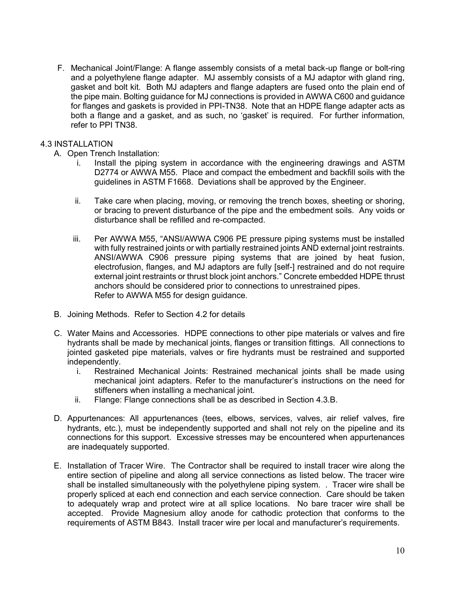F. Mechanical Joint/Flange: A flange assembly consists of a metal back-up flange or bolt-ring and a polyethylene flange adapter. MJ assembly consists of a MJ adaptor with gland ring, gasket and bolt kit. Both MJ adapters and flange adapters are fused onto the plain end of the pipe main. Bolting guidance for MJ connections is provided in AWWA C600 and guidance for flanges and gaskets is provided in PPI-TN38. Note that an HDPE flange adapter acts as both a flange and a gasket, and as such, no 'gasket' is required. For further information, refer to PPI TN38.

## 4.3 INSTALLATION

- A. Open Trench Installation:
	- i. Install the piping system in accordance with the engineering drawings and ASTM D2774 or AWWA M55. Place and compact the embedment and backfill soils with the guidelines in ASTM F1668. Deviations shall be approved by the Engineer.
	- ii. Take care when placing, moving, or removing the trench boxes, sheeting or shoring, or bracing to prevent disturbance of the pipe and the embedment soils. Any voids or disturbance shall be refilled and re-compacted.
	- iii. Per AWWA M55, "ANSI/AWWA C906 PE pressure piping systems must be installed with fully restrained joints or with partially restrained joints AND external joint restraints. ANSI/AWWA C906 pressure piping systems that are joined by heat fusion, electrofusion, flanges, and MJ adaptors are fully [self-] restrained and do not require external joint restraints or thrust block joint anchors." Concrete embedded HDPE thrust anchors should be considered prior to connections to unrestrained pipes. Refer to AWWA M55 for design guidance.
- B. Joining Methods. Refer to Section 4.2 for details
- C. Water Mains and Accessories. HDPE connections to other pipe materials or valves and fire hydrants shall be made by mechanical joints, flanges or transition fittings. All connections to jointed gasketed pipe materials, valves or fire hydrants must be restrained and supported independently.
	- i. Restrained Mechanical Joints: Restrained mechanical joints shall be made using mechanical joint adapters. Refer to the manufacturer's instructions on the need for stiffeners when installing a mechanical joint.
	- ii. Flange: Flange connections shall be as described in Section 4.3.B.
- D. Appurtenances: All appurtenances (tees, elbows, services, valves, air relief valves, fire hydrants, etc.), must be independently supported and shall not rely on the pipeline and its connections for this support. Excessive stresses may be encountered when appurtenances are inadequately supported.
- E. Installation of Tracer Wire. The Contractor shall be required to install tracer wire along the entire section of pipeline and along all service connections as listed below. The tracer wire shall be installed simultaneously with the polyethylene piping system. . Tracer wire shall be properly spliced at each end connection and each service connection. Care should be taken to adequately wrap and protect wire at all splice locations. No bare tracer wire shall be accepted. Provide Magnesium alloy anode for cathodic protection that conforms to the requirements of ASTM B843. Install tracer wire per local and manufacturer's requirements.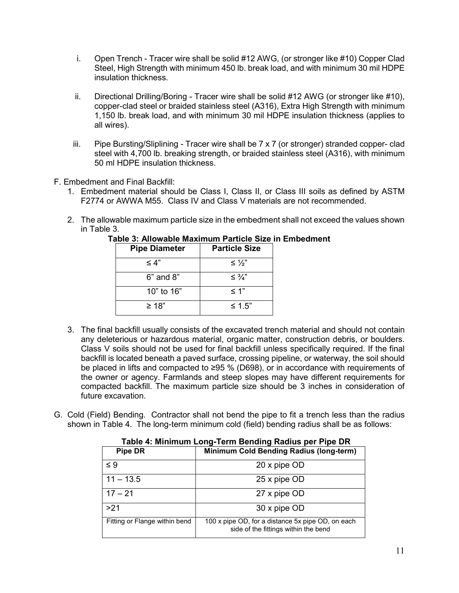- i. Open Trench Tracer wire shall be solid #12 AWG, (or stronger like #10) Copper Clad Steel, High Strength with minimum 450 lb. break load, and with minimum 30 mil HDPE insulation thickness.
- ii. Directional Drilling/Boring Tracer wire shall be solid #12 AWG (or stronger like #10), copper-clad steel or braided stainless steel (A316), Extra High Strength with minimum 1,150 lb. break load, and with minimum 30 mil HDPE insulation thickness (applies to all wires).
- iii. Pipe Bursting/Sliplining Tracer wire shall be 7 x 7 (or stronger) stranded copper- clad steel with 4,700 lb. breaking strength, or braided stainless steel (A316), with minimum 50 ml HDPE insulation thickness.
- F. Embedment and Final Backfill:
	- 1. Embedment material should be Class I, Class II, or Class III soils as defined by ASTM F2774 or AWWA M55. Class IV and Class V materials are not recommended.
	- 2. The allowable maximum particle size in the embedment shall not exceed the values shown in Table 3.

| <b>Pipe Diameter</b> | <b>Particle Size</b> |  |
|----------------------|----------------------|--|
| $\leq 4$ "           | $\leq \frac{1}{2}$   |  |
| $6"$ and $8"$        | $\leq \frac{3}{4}$ " |  |
| 10" to $16"$         | $\leq 1"$            |  |
| $\geq 18$ "          | $\leq 1.5"$          |  |

**Table 3: Allowable Maximum Particle Size in Embedment** 

- 3. The final backfill usually consists of the excavated trench material and should not contain any deleterious or hazardous material, organic matter, construction debris, or boulders. Class V soils should not be used for final backfill unless specifically required. If the final backfill is located beneath a paved surface, crossing pipeline, or waterway, the soil should be placed in lifts and compacted to ≥95 % (D698), or in accordance with requirements of the owner or agency. Farmlands and steep slopes may have different requirements for compacted backfill. The maximum particle size should be 3 inches in consideration of future excavation.
- G. Cold (Field) Bending. Contractor shall not bend the pipe to fit a trench less than the radius shown in Table 4. The long-term minimum cold (field) bending radius shall be as follows:

| $\cdots$ $\cdots$ $\cdots$ $\cdots$ $\cdots$ $\cdots$ $\cdots$ $\cdots$ $\cdots$ $\cdots$ $\cdots$ $\cdots$ $\cdots$ $\cdots$ |                                                                                           |  |  |  |
|-------------------------------------------------------------------------------------------------------------------------------|-------------------------------------------------------------------------------------------|--|--|--|
| <b>Pipe DR</b>                                                                                                                | <b>Minimum Cold Bending Radius (long-term)</b>                                            |  |  |  |
| $\leq 9$                                                                                                                      | 20 x pipe OD                                                                              |  |  |  |
| $11 - 13.5$                                                                                                                   | 25 x pipe OD                                                                              |  |  |  |
| $17 - 21$                                                                                                                     | 27 x pipe OD                                                                              |  |  |  |
| >21                                                                                                                           | 30 x pipe OD                                                                              |  |  |  |
| Fitting or Flange within bend                                                                                                 | 100 x pipe OD, for a distance 5x pipe OD, on each<br>side of the fittings within the bend |  |  |  |

# **Table 4: Minimum Long-Term Bending Radius per Pipe DR**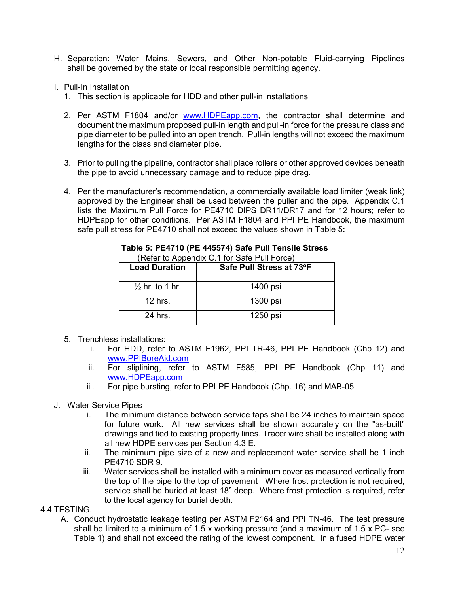- H. Separation: Water Mains, Sewers, and Other Non-potable Fluid-carrying Pipelines shall be governed by the state or local responsible permitting agency.
- I. Pull-In Installation
	- 1. This section is applicable for HDD and other pull-in installations
	- 2. Per ASTM F1804 and/or [www.HDPEapp.com,](http://www.hdpeapp.com/) the contractor shall determine and document the maximum proposed pull-in length and pull-in force for the pressure class and pipe diameter to be pulled into an open trench. Pull-in lengths will not exceed the maximum lengths for the class and diameter pipe.
	- 3. Prior to pulling the pipeline, contractor shall place rollers or other approved devices beneath the pipe to avoid unnecessary damage and to reduce pipe drag.
	- 4. Per the manufacturer's recommendation, a commercially available load limiter (weak link) approved by the Engineer shall be used between the puller and the pipe. Appendix C.1 lists the Maximum Pull Force for PE4710 DIPS DR11/DR17 and for 12 hours; refer to HDPEapp for other conditions. Per ASTM F1804 and PPI PE Handbook, the maximum safe pull stress for PE4710 shall not exceed the values shown in Table 5**:**

| <b>Load Duration</b>       | Safe Pull Stress at 73°F |
|----------------------------|--------------------------|
| $\frac{1}{2}$ hr. to 1 hr. | 1400 psi                 |
| $12$ hrs.                  | 1300 psi                 |
| 24 hrs.                    | 1250 psi                 |

#### **Table 5: PE4710 (PE 445574) Safe Pull Tensile Stress** (Refer to Appendix C.1 for Safe Pull Force)

- 5. Trenchless installations:
	- i. For HDD, refer to ASTM F1962, PPI TR-46, PPI PE Handbook (Chp 12) and [www.PPIBoreAid.com](http://www.ppiboreaid.com/)
	- ii. For sliplining, refer to ASTM F585, PPI PE Handbook (Chp 11) and [www.HDPEapp.com](http://www.hdpeapp.com/)
	- iii. For pipe bursting, refer to PPI PE Handbook (Chp. 16) and MAB-05
- J. Water Service Pipes
	- i. The minimum distance between service taps shall be 24 inches to maintain space for future work. All new services shall be shown accurately on the "as-built" drawings and tied to existing property lines. Tracer wire shall be installed along with all new HDPE services per Section 4.3 E.
	- ii. The minimum pipe size of a new and replacement water service shall be 1 inch PE4710 SDR 9.
	- iii. Water services shall be installed with a minimum cover as measured vertically from the top of the pipe to the top of pavement Where frost protection is not required, service shall be buried at least 18" deep. Where frost protection is required, refer to the local agency for burial depth.
- 4.4 TESTING.
	- A. Conduct hydrostatic leakage testing per ASTM F2164 and PPI TN-46. The test pressure shall be limited to a minimum of 1.5 x working pressure (and a maximum of 1.5 x PC- see Table 1) and shall not exceed the rating of the lowest component. In a fused HDPE water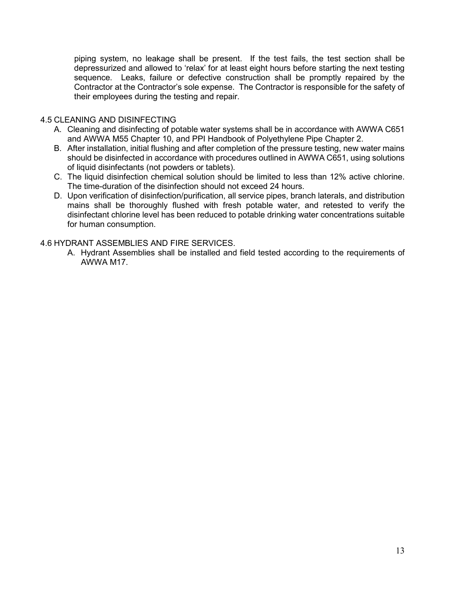piping system, no leakage shall be present. If the test fails, the test section shall be depressurized and allowed to 'relax' for at least eight hours before starting the next testing sequence. Leaks, failure or defective construction shall be promptly repaired by the Contractor at the Contractor's sole expense. The Contractor is responsible for the safety of their employees during the testing and repair.

## 4.5 CLEANING AND DISINFECTING

- A. Cleaning and disinfecting of potable water systems shall be in accordance with AWWA C651 and AWWA M55 Chapter 10, and PPI Handbook of Polyethylene Pipe Chapter 2.
- B. After installation, initial flushing and after completion of the pressure testing, new water mains should be disinfected in accordance with procedures outlined in AWWA C651, using solutions of liquid disinfectants (not powders or tablets).
- C. The liquid disinfection chemical solution should be limited to less than 12% active chlorine. The time-duration of the disinfection should not exceed 24 hours.
- D. Upon verification of disinfection/purification, all service pipes, branch laterals, and distribution mains shall be thoroughly flushed with fresh potable water, and retested to verify the disinfectant chlorine level has been reduced to potable drinking water concentrations suitable for human consumption.

## 4.6 HYDRANT ASSEMBLIES AND FIRE SERVICES.

A. Hydrant Assemblies shall be installed and field tested according to the requirements of AWWA M17.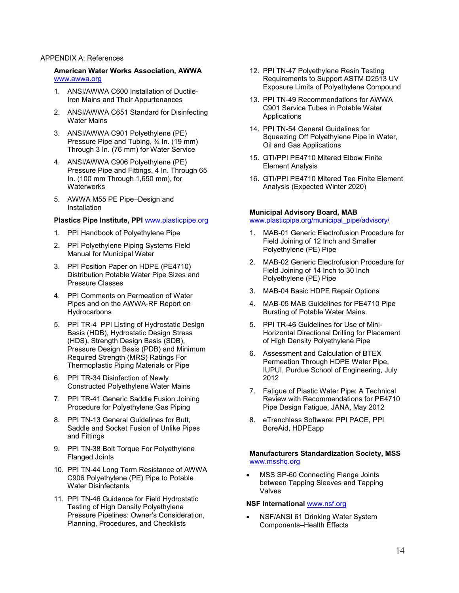#### APPENDIX A: References

#### **American Water Works Association, AWWA** [www.awwa.org](http://www.awwa.org/)

- 1. ANSI/AWWA C600 Installation of Ductile-Iron Mains and Their Appurtenances
- 2. ANSI/AWWA C651 Standard for Disinfecting Water Mains
- 3. ANSI/AWWA C901 Polyethylene (PE) Pressure Pipe and Tubing, ¾ In. (19 mm) Through 3 In. (76 mm) for Water Service
- 4. ANSI/AWWA C906 Polyethylene (PE) Pressure Pipe and Fittings, 4 In. Through 65 In. (100 mm Through 1,650 mm), for **Waterworks**
- 5. AWWA M55 PE Pipe–Design and Installation

#### **Plastics Pipe Institute, PPI** [www.plasticpipe.org](http://www.plasticpipe.org/)

- 1. PPI Handbook of Polyethylene Pipe
- 2. PPI Polyethylene Piping Systems Field Manual for Municipal Water
- 3. PPI Position Paper on HDPE (PE4710) Distribution Potable Water Pipe Sizes and Pressure Classes
- 4. PPI Comments on Permeation of Water Pipes and on the AWWA-RF Report on **Hydrocarbons**
- 5. PPI TR-4 PPI Listing of Hydrostatic Design Basis (HDB), Hydrostatic Design Stress (HDS), Strength Design Basis (SDB), Pressure Design Basis (PDB) and Minimum Required Strength (MRS) Ratings For Thermoplastic Piping Materials or Pipe
- 6. PPI TR-34 Disinfection of Newly Constructed Polyethylene Water Mains
- 7. PPI TR-41 Generic Saddle Fusion Joining Procedure for Polyethylene Gas Piping
- 8. PPI TN-13 General Guidelines for Butt, Saddle and Socket Fusion of Unlike Pipes and Fittings
- 9. PPI TN-38 Bolt Torque For Polyethylene Flanged Joints
- 10. PPI TN-44 Long Term Resistance of AWWA C906 Polyethylene (PE) Pipe to Potable Water Disinfectants
- 11. PPI TN-46 Guidance for Field Hydrostatic Testing of High Density Polyethylene Pressure Pipelines: Owner's Consideration, Planning, Procedures, and Checklists
- 12. PPI TN-47 Polyethylene Resin Testing Requirements to Support ASTM D2513 UV Exposure Limits of Polyethylene Compound
- 13. PPI TN-49 Recommendations for AWWA C901 Service Tubes in Potable Water Applications
- 14. PPI TN-54 General Guidelines for Squeezing Off Polyethylene Pipe in Water, Oil and Gas Applications
- 15. GTI/PPI PE4710 Mitered Elbow Finite Element Analysis
- 16. GTI/PPI PE4710 Mitered Tee Finite Element Analysis (Expected Winter 2020)

### **Municipal Advisory Board, MAB**

#### [www.plasticpipe.org/municipal\\_pipe/advisory/](http://www.plasticpipe.org/municipal_pipe/advisory/)

- 1. MAB-01 Generic Electrofusion Procedure for Field Joining of 12 Inch and Smaller Polyethylene (PE) Pipe
- 2. MAB-02 Generic Electrofusion Procedure for Field Joining of 14 Inch to 30 Inch Polyethylene (PE) Pipe
- 3. MAB-04 Basic HDPE Repair Options
- 4. MAB-05 MAB Guidelines for PE4710 Pipe Bursting of Potable Water Mains.
- 5. PPI TR-46 Guidelines for Use of Mini-Horizontal Directional Drilling for Placement of High Density Polyethylene Pipe
- 6. Assessment and Calculation of BTEX Permeation Through HDPE Water Pipe, IUPUI, Purdue School of Engineering, July 2012
- 7. Fatigue of Plastic Water Pipe: A Technical Review with Recommendations for PE4710 Pipe Design Fatigue, JANA, May 2012
- 8. eTrenchless Software: PPI PACE, PPI BoreAid, HDPEapp

#### **Manufacturers Standardization Society, MSS**  [www.msshq.org](http://www.msshq.org/)

MSS SP-60 Connecting Flange Joints between Tapping Sleeves and Tapping Valves

#### **NSF International** [www.nsf.org](http://www.nsf.org/)

• NSF/ANSI 61 Drinking Water System Components–Health Effects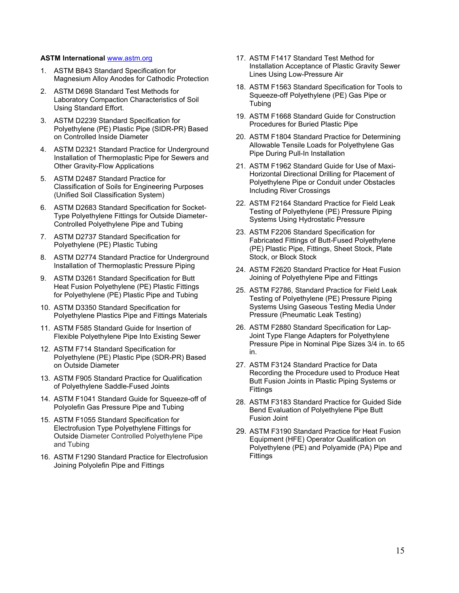#### **ASTM International** [www.astm.org](http://www.astm.org/)

- 1. ASTM B843 Standard Specification for Magnesium Alloy Anodes for Cathodic Protection
- 2. ASTM D698 Standard Test Methods for Laboratory Compaction Characteristics of Soil Using Standard Effort.
- 3. ASTM D2239 Standard Specification for Polyethylene (PE) Plastic Pipe (SIDR-PR) Based on Controlled Inside Diameter
- 4. ASTM D2321 Standard Practice for Underground Installation of Thermoplastic Pipe for Sewers and Other Gravity-Flow Applications
- 5. ASTM D2487 Standard Practice for Classification of Soils for Engineering Purposes (Unified Soil Classification System)
- 6. ASTM D2683 Standard Specification for Socket-Type Polyethylene Fittings for Outside Diameter-Controlled Polyethylene Pipe and Tubing
- 7. ASTM D2737 Standard Specification for Polyethylene (PE) Plastic Tubing
- 8. ASTM D2774 Standard Practice for Underground Installation of Thermoplastic Pressure Piping
- 9. ASTM D3261 Standard Specification for Butt Heat Fusion Polyethylene (PE) Plastic Fittings for Polyethylene (PE) Plastic Pipe and Tubing
- 10. ASTM D3350 Standard Specification for Polyethylene Plastics Pipe and Fittings Materials
- 11. ASTM F585 Standard Guide for Insertion of Flexible Polyethylene Pipe Into Existing Sewer
- 12. ASTM F714 Standard Specification for Polyethylene (PE) Plastic Pipe (SDR-PR) Based on Outside Diameter
- 13. ASTM F905 Standard Practice for Qualification of Polyethylene Saddle-Fused Joints
- 14. ASTM F1041 Standard Guide for Squeeze-off of Polyolefin Gas Pressure Pipe and Tubing
- 15. ASTM F1055 Standard Specification for Electrofusion Type Polyethylene Fittings for Outside Diameter Controlled Polyethylene Pipe and Tubing
- 16. ASTM F1290 Standard Practice for Electrofusion Joining Polyolefin Pipe and Fittings
- 17. ASTM F1417 Standard Test Method for Installation Acceptance of Plastic Gravity Sewer Lines Using Low-Pressure Air
- 18. ASTM F1563 Standard Specification for Tools to Squeeze-off Polyethylene (PE) Gas Pipe or Tubing
- 19. ASTM F1668 Standard Guide for Construction Procedures for Buried Plastic Pipe
- 20. ASTM F1804 Standard Practice for Determining Allowable Tensile Loads for Polyethylene Gas Pipe During Pull-In Installation
- 21. ASTM F1962 Standard Guide for Use of Maxi-Horizontal Directional Drilling for Placement of Polyethylene Pipe or Conduit under Obstacles Including River Crossings
- 22. ASTM F2164 Standard Practice for Field Leak Testing of Polyethylene (PE) Pressure Piping Systems Using Hydrostatic Pressure
- 23. ASTM F2206 Standard Specification for Fabricated Fittings of Butt-Fused Polyethylene (PE) Plastic Pipe, Fittings, Sheet Stock, Plate Stock, or Block Stock
- 24. ASTM F2620 Standard Practice for Heat Fusion Joining of Polyethylene Pipe and Fittings
- 25. ASTM F2786, Standard Practice for Field Leak Testing of Polyethylene (PE) Pressure Piping Systems Using Gaseous Testing Media Under Pressure (Pneumatic Leak Testing)
- 26. ASTM F2880 Standard Specification for Lap-Joint Type Flange Adapters for Polyethylene Pressure Pipe in Nominal Pipe Sizes 3/4 in. to 65 in.
- 27. ASTM F3124 Standard Practice for Data Recording the Procedure used to Produce Heat Butt Fusion Joints in Plastic Piping Systems or **Fittings**
- 28. ASTM F3183 Standard Practice for Guided Side Bend Evaluation of Polyethylene Pipe Butt Fusion Joint
- 29. ASTM F3190 Standard Practice for Heat Fusion Equipment (HFE) Operator Qualification on Polyethylene (PE) and Polyamide (PA) Pipe and Fittings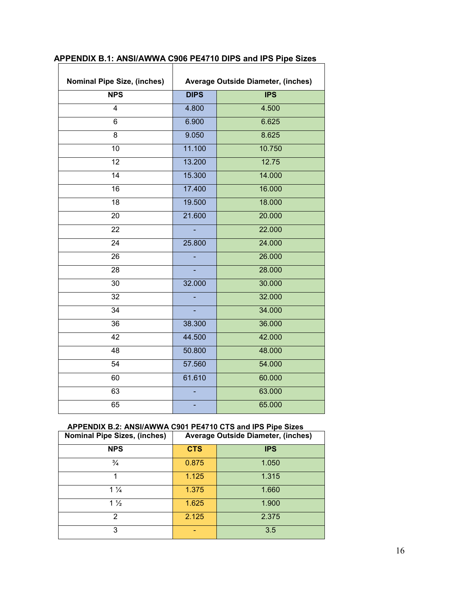| <b>Nominal Pipe Size, (inches)</b> | <b>Average Outside Diameter, (inches)</b> |            |  |
|------------------------------------|-------------------------------------------|------------|--|
| <b>NPS</b>                         | <b>DIPS</b>                               | <b>IPS</b> |  |
| $\overline{4}$                     | 4.800                                     | 4.500      |  |
| 6                                  | 6.900                                     | 6.625      |  |
| 8                                  | 9.050                                     | 8.625      |  |
| 10                                 | 11.100                                    | 10.750     |  |
| 12                                 | 13.200                                    | 12.75      |  |
| 14                                 | 15.300                                    | 14.000     |  |
| 16                                 | 17.400                                    | 16.000     |  |
| 18                                 | 19.500                                    | 18.000     |  |
| 20                                 | 21.600                                    | 20.000     |  |
| 22                                 |                                           | 22.000     |  |
| 24                                 | 25.800                                    | 24.000     |  |
| 26                                 |                                           | 26.000     |  |
| 28                                 |                                           | 28.000     |  |
| 30                                 | 32.000                                    | 30.000     |  |
| 32                                 |                                           | 32.000     |  |
| 34                                 |                                           | 34.000     |  |
| 36                                 | 38.300                                    | 36.000     |  |
| 42                                 | 44.500                                    | 42.000     |  |
| 48                                 | 50.800                                    | 48.000     |  |
| 54                                 | 57.560                                    | 54.000     |  |
| 60                                 | 61.610                                    | 60.000     |  |
| 63                                 |                                           | 63.000     |  |
| 65                                 |                                           | 65.000     |  |

# **APPENDIX B.1: ANSI/AWWA C906 PE4710 DIPS and IPS Pipe Sizes**

# **APPENDIX B.2: ANSI/AWWA C901 PE4710 CTS and IPS Pipe Sizes**

| <b>Nominal Pipe Sizes, (inches)</b> | <b>Average Outside Diameter, (inches)</b> |            |  |
|-------------------------------------|-------------------------------------------|------------|--|
| <b>NPS</b>                          | <b>CTS</b>                                | <b>IPS</b> |  |
| $\frac{3}{4}$                       | 0.875                                     | 1.050      |  |
| 1                                   | 1.125                                     | 1.315      |  |
| $1\frac{1}{4}$                      | 1.375                                     | 1.660      |  |
| $1\frac{1}{2}$                      | 1.625                                     | 1.900      |  |
| 2                                   | 2.125                                     | 2.375      |  |
| 3                                   |                                           | 3.5        |  |